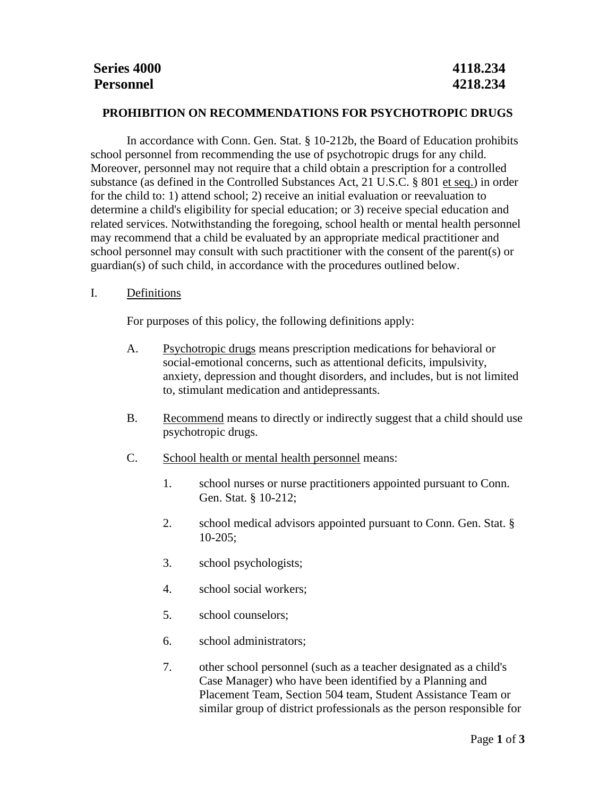## **PROHIBITION ON RECOMMENDATIONS FOR PSYCHOTROPIC DRUGS**

In accordance with Conn. Gen. Stat. § 10-212b, the Board of Education prohibits school personnel from recommending the use of psychotropic drugs for any child. Moreover, personnel may not require that a child obtain a prescription for a controlled substance (as defined in the Controlled Substances Act, 21 U.S.C. § 801 et seq.) in order for the child to: 1) attend school; 2) receive an initial evaluation or reevaluation to determine a child's eligibility for special education; or 3) receive special education and related services. Notwithstanding the foregoing, school health or mental health personnel may recommend that a child be evaluated by an appropriate medical practitioner and school personnel may consult with such practitioner with the consent of the parent(s) or guardian(s) of such child, in accordance with the procedures outlined below.

## I. Definitions

For purposes of this policy, the following definitions apply:

- A. Psychotropic drugs means prescription medications for behavioral or social-emotional concerns, such as attentional deficits, impulsivity, anxiety, depression and thought disorders, and includes, but is not limited to, stimulant medication and antidepressants.
- B. Recommend means to directly or indirectly suggest that a child should use psychotropic drugs.
- C. School health or mental health personnel means:
	- 1. school nurses or nurse practitioners appointed pursuant to Conn. Gen. Stat. § 10-212;
	- 2. school medical advisors appointed pursuant to Conn. Gen. Stat. § 10-205;
	- 3. school psychologists;
	- 4. school social workers;
	- 5. school counselors;
	- 6. school administrators;
	- 7. other school personnel (such as a teacher designated as a child's Case Manager) who have been identified by a Planning and Placement Team, Section 504 team, Student Assistance Team or similar group of district professionals as the person responsible for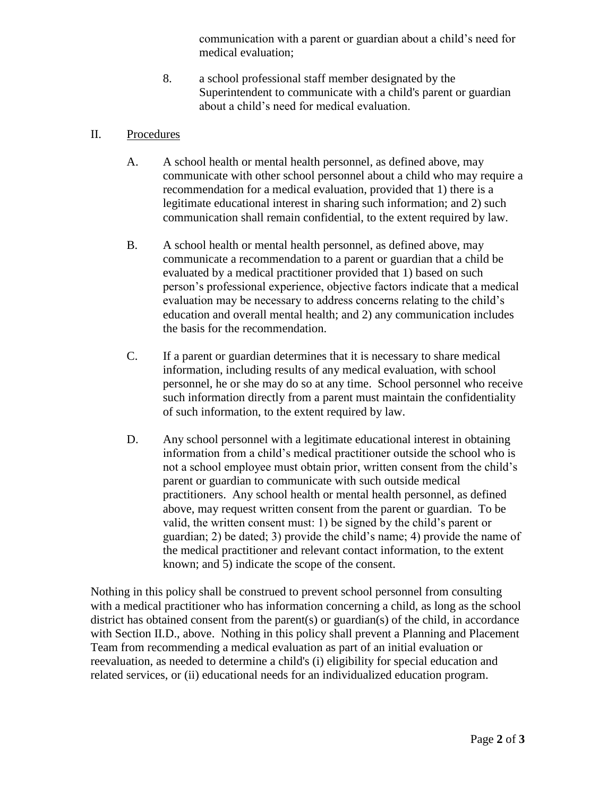communication with a parent or guardian about a child's need for medical evaluation;

8. a school professional staff member designated by the Superintendent to communicate with a child's parent or guardian about a child's need for medical evaluation.

## II. Procedures

- A. A school health or mental health personnel, as defined above, may communicate with other school personnel about a child who may require a recommendation for a medical evaluation, provided that 1) there is a legitimate educational interest in sharing such information; and 2) such communication shall remain confidential, to the extent required by law.
- B. A school health or mental health personnel, as defined above, may communicate a recommendation to a parent or guardian that a child be evaluated by a medical practitioner provided that 1) based on such person's professional experience, objective factors indicate that a medical evaluation may be necessary to address concerns relating to the child's education and overall mental health; and 2) any communication includes the basis for the recommendation.
- C. If a parent or guardian determines that it is necessary to share medical information, including results of any medical evaluation, with school personnel, he or she may do so at any time. School personnel who receive such information directly from a parent must maintain the confidentiality of such information, to the extent required by law.
- D. Any school personnel with a legitimate educational interest in obtaining information from a child's medical practitioner outside the school who is not a school employee must obtain prior, written consent from the child's parent or guardian to communicate with such outside medical practitioners. Any school health or mental health personnel, as defined above, may request written consent from the parent or guardian. To be valid, the written consent must: 1) be signed by the child's parent or guardian; 2) be dated; 3) provide the child's name; 4) provide the name of the medical practitioner and relevant contact information, to the extent known; and 5) indicate the scope of the consent.

Nothing in this policy shall be construed to prevent school personnel from consulting with a medical practitioner who has information concerning a child, as long as the school district has obtained consent from the parent(s) or guardian(s) of the child, in accordance with Section II.D., above. Nothing in this policy shall prevent a Planning and Placement Team from recommending a medical evaluation as part of an initial evaluation or reevaluation, as needed to determine a child's (i) eligibility for special education and related services, or (ii) educational needs for an individualized education program.